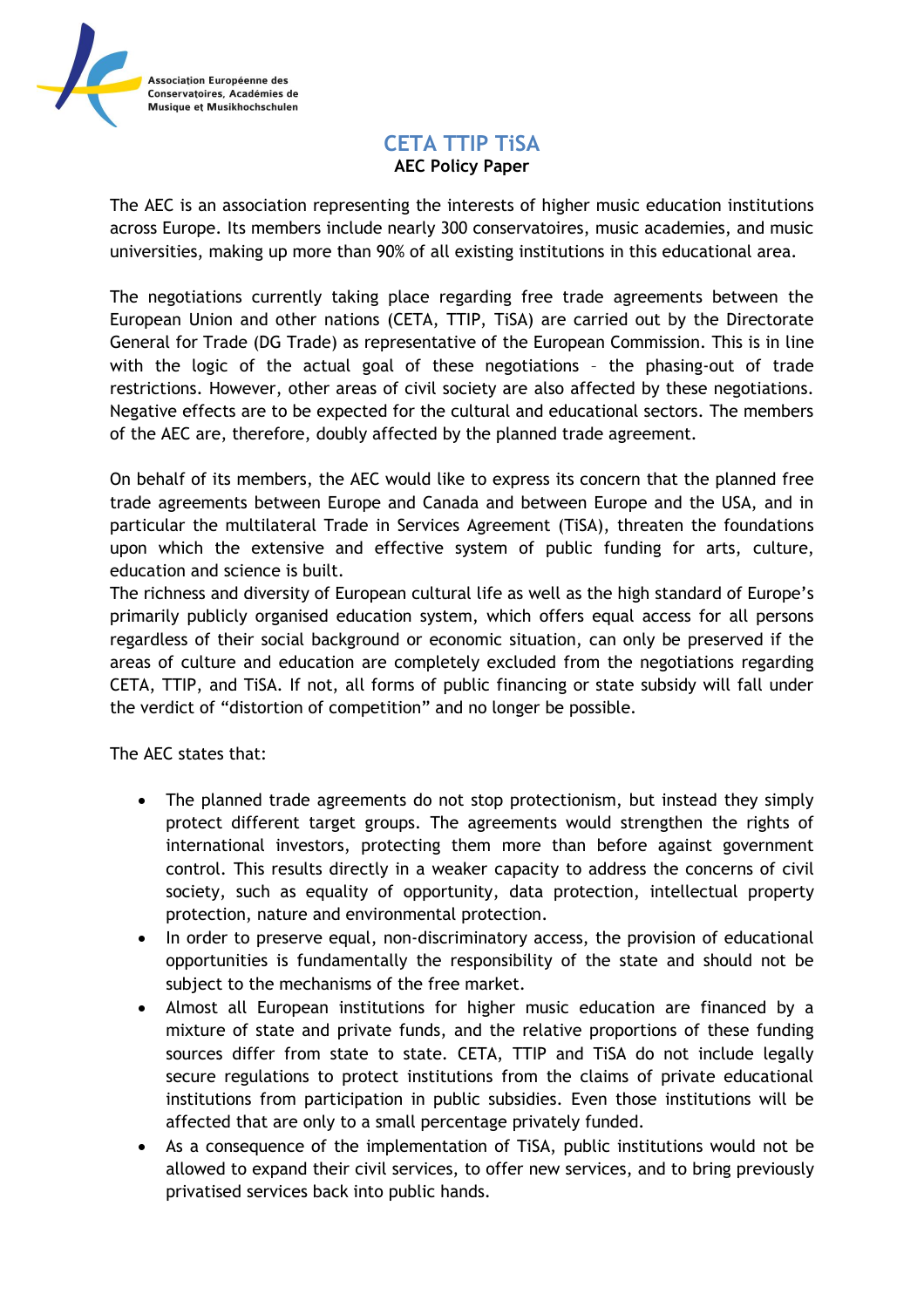

## **CETA TTIP TiSA AEC Policy Paper**

The AEC is an association representing the interests of higher music education institutions across Europe. Its members include nearly 300 conservatoires, music academies, and music universities, making up more than 90% of all existing institutions in this educational area.

The negotiations currently taking place regarding free trade agreements between the European Union and other nations (CETA, TTIP, TiSA) are carried out by the Directorate General for Trade (DG Trade) as representative of the European Commission. This is in line with the logic of the actual goal of these negotiations – the phasing-out of trade restrictions. However, other areas of civil society are also affected by these negotiations. Negative effects are to be expected for the cultural and educational sectors. The members of the AEC are, therefore, doubly affected by the planned trade agreement.

On behalf of its members, the AEC would like to express its concern that the planned free trade agreements between Europe and Canada and between Europe and the USA, and in particular the multilateral Trade in Services Agreement (TiSA), threaten the foundations upon which the extensive and effective system of public funding for arts, culture, education and science is built.

The richness and diversity of European cultural life as well as the high standard of Europe's primarily publicly organised education system, which offers equal access for all persons regardless of their social background or economic situation, can only be preserved if the areas of culture and education are completely excluded from the negotiations regarding CETA, TTIP, and TiSA. If not, all forms of public financing or state subsidy will fall under the verdict of "distortion of competition" and no longer be possible.

The AEC states that:

- The planned trade agreements do not stop protectionism, but instead they simply protect different target groups. The agreements would strengthen the rights of international investors, protecting them more than before against government control. This results directly in a weaker capacity to address the concerns of civil society, such as equality of opportunity, data protection, intellectual property protection, nature and environmental protection.
- In order to preserve equal, non-discriminatory access, the provision of educational opportunities is fundamentally the responsibility of the state and should not be subject to the mechanisms of the free market.
- Almost all European institutions for higher music education are financed by a mixture of state and private funds, and the relative proportions of these funding sources differ from state to state. CETA, TTIP and TiSA do not include legally secure regulations to protect institutions from the claims of private educational institutions from participation in public subsidies. Even those institutions will be affected that are only to a small percentage privately funded.
- As a consequence of the implementation of TiSA, public institutions would not be allowed to expand their civil services, to offer new services, and to bring previously privatised services back into public hands.